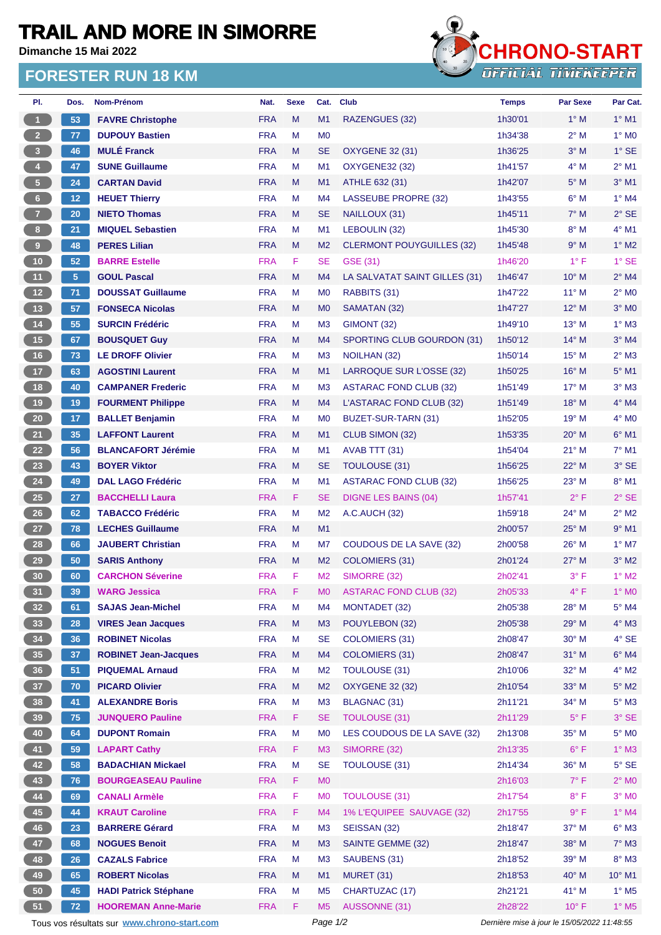## **TRAIL AND MORE IN SIMORRE**

**Dimanche 15 Mai 2022**

## **FORESTER RUN 18 KM**



| PI.                     | Dos.            | Nom-Prénom                                  | Nat.       | <b>Sexe</b> | Cat.           | <b>Club</b>                      | <b>Temps</b>                                | <b>Par Sexe</b> | Par Cat.                 |
|-------------------------|-----------------|---------------------------------------------|------------|-------------|----------------|----------------------------------|---------------------------------------------|-----------------|--------------------------|
| $\mathbf{1}$            | 53              | <b>FAVRE Christophe</b>                     | <b>FRA</b> | M           | M1             | RAZENGUES (32)                   | 1h30'01                                     | $1^\circ$ M     | $1^\circ$ M1             |
| $2^{\circ}$             | 77              | <b>DUPOUY Bastien</b>                       | <b>FRA</b> | M           | M <sub>0</sub> |                                  | 1h34'38                                     | $2^{\circ}$ M   | $1^\circ$ MO             |
| $\overline{\mathbf{3}}$ | 46              | <b>MULÉ Franck</b>                          | <b>FRA</b> | M           | <b>SE</b>      | <b>OXYGENE 32 (31)</b>           | 1h36'25                                     | $3^\circ$ M     | $1^\circ$ SE             |
| $\overline{4}$          | 47              | <b>SUNE Guillaume</b>                       | <b>FRA</b> | м           | M <sub>1</sub> | <b>OXYGENE32 (32)</b>            | 1h41'57                                     | $4^\circ$ M     | $2^{\circ}$ M1           |
| 5 <sub>1</sub>          | 24              | <b>CARTAN David</b>                         | <b>FRA</b> | M           | M1             | ATHLE 632 (31)                   | 1h42'07                                     | $5^\circ$ M     | $3°$ M1                  |
| $6\phantom{.}6$         | 12 <sub>1</sub> | <b>HEUET Thierry</b>                        | <b>FRA</b> | м           | M4             | <b>LASSEUBE PROPRE (32)</b>      | 1h43'55                                     | $6^\circ$ M     | $1^\circ$ M4             |
| $\mathbf{Z}$            | 20              | <b>NIETO Thomas</b>                         | <b>FRA</b> | M           | <b>SE</b>      | NAILLOUX (31)                    | 1h45'11                                     | $7^\circ$ M     | $2°$ SE                  |
| 8 <sup>2</sup>          | 21              | <b>MIQUEL Sebastien</b>                     | <b>FRA</b> | м           | M <sub>1</sub> | LEBOULIN (32)                    | 1h45'30                                     | $8^\circ$ M     | $4^\circ$ M1             |
| 9                       | 48              | <b>PERES Lilian</b>                         | <b>FRA</b> | M           | M <sub>2</sub> | <b>CLERMONT POUYGUILLES (32)</b> | 1h45'48                                     | 9° M            | $1^\circ$ M2             |
| 10 <sub>1</sub>         | 52              | <b>BARRE Estelle</b>                        | <b>FRA</b> | F.          | <b>SE</b>      | GSE (31)                         | 1h46'20                                     | $1^{\circ}$ F   | $1°$ SE                  |
| 11                      | 5 <sub>5</sub>  | <b>GOUL Pascal</b>                          | <b>FRA</b> | M           | M4             | LA SALVATAT SAINT GILLES (31)    | 1h46'47                                     | $10^{\circ}$ M  | $2^{\circ}$ M4           |
| $12$                    | 71              | <b>DOUSSAT Guillaume</b>                    | <b>FRA</b> | м           | M <sub>0</sub> | RABBITS (31)                     | 1h47'22                                     | $11^{\circ}$ M  | $2^{\circ}$ MO           |
| 13                      | 57              | <b>FONSECA Nicolas</b>                      | <b>FRA</b> | M           | M <sub>0</sub> | SAMATAN (32)                     | 1h47'27                                     | 12° M           | $3°$ M <sub>0</sub>      |
| 14                      | 55              | <b>SURCIN Frédéric</b>                      | <b>FRA</b> | М           | M <sub>3</sub> | GIMONT (32)                      | 1h49'10                                     | $13^{\circ}$ M  | $1^\circ$ M3             |
| 15                      | 67              | <b>BOUSQUET Guy</b>                         | <b>FRA</b> | M           | M4             | SPORTING CLUB GOURDON (31)       | 1h50'12                                     | $14^{\circ}$ M  | $3°$ M4                  |
| 16                      | 73              | <b>LE DROFF Olivier</b>                     | <b>FRA</b> | М           | M <sub>3</sub> | NOILHAN (32)                     | 1h50'14                                     | $15^{\circ}$ M  | $2^{\circ}$ M3           |
| 17 <sup>°</sup>         | 63              | <b>AGOSTINI Laurent</b>                     | <b>FRA</b> | M           | M1             | LARROQUE SUR L'OSSE (32)         | 1h50'25                                     | $16^{\circ}$ M  | $5^\circ$ M1             |
| 18                      | 40              | <b>CAMPANER Frederic</b>                    | <b>FRA</b> | М           | M <sub>3</sub> | ASTARAC FOND CLUB (32)           | 1h51'49                                     | $17^{\circ}$ M  | $3°$ M $3$               |
| 19                      | 19              | <b>FOURMENT Philippe</b>                    | <b>FRA</b> | M           | M4             | L'ASTARAC FOND CLUB (32)         | 1h51'49                                     | $18^{\circ}$ M  | $4^\circ$ M4             |
| $20\,$                  | 17              | <b>BALLET Benjamin</b>                      | <b>FRA</b> | М           | M <sub>0</sub> | BUZET-SUR-TARN (31)              | 1h52'05                                     | 19° M           | 4° MO                    |
| 21                      | 35              | <b>LAFFONT Laurent</b>                      | <b>FRA</b> | M           | M1             | CLUB SIMON (32)                  | 1h53'35                                     | $20^\circ$ M    | $6°$ M1                  |
| 22                      | 56              | <b>BLANCAFORT Jérémie</b>                   | <b>FRA</b> | M           | M1             | AVAB TTT (31)                    | 1h54'04                                     | $21^{\circ}$ M  | $7^\circ$ M1             |
| 23                      | 43              | <b>BOYER Viktor</b>                         | <b>FRA</b> | M           | <b>SE</b>      | <b>TOULOUSE (31)</b>             | 1h56'25                                     | $22^{\circ}$ M  | $3°$ SE                  |
| ${\bf 24}$              | 49              | <b>DAL LAGO Frédéric</b>                    | <b>FRA</b> | М           | M <sub>1</sub> | <b>ASTARAC FOND CLUB (32)</b>    | 1h56'25                                     | 23° M           | $8^\circ$ M1             |
| 25                      | 27              | <b>BACCHELLI Laura</b>                      | <b>FRA</b> | F.          | <b>SE</b>      | DIGNE LES BAINS (04)             | 1h57'41                                     | $2^{\circ}$ F   | $2°$ SE                  |
| 26                      | 62              | <b>TABACCO Frédéric</b>                     | <b>FRA</b> | M           | M <sub>2</sub> | <b>A.C.AUCH (32)</b>             | 1h59'18                                     | 24° M           | $2^{\circ}$ M2           |
| 27                      | 78              | <b>LECHES Guillaume</b>                     | <b>FRA</b> | M           | M1             |                                  | 2h00'57                                     | $25^{\circ}$ M  | $9°$ M1                  |
| 28                      | 66              | <b>JAUBERT Christian</b>                    | <b>FRA</b> | м           | M7             | <b>COUDOUS DE LA SAVE (32)</b>   | 2h00'58                                     | 26° M           | $1^\circ$ M7             |
| 29                      | 50              | <b>SARIS Anthony</b>                        | <b>FRA</b> | M           | M <sub>2</sub> | <b>COLOMIERS (31)</b>            | 2h01'24                                     | $27^\circ$ M    | $3^\circ$ M2             |
| 30                      | 60              | <b>CARCHON Séverine</b>                     | <b>FRA</b> | F           | M <sub>2</sub> | SIMORRE (32)                     | 2h02'41                                     | $3^{\circ}$ F   | $1^\circ$ M2             |
| 31                      | 39              | <b>WARG Jessica</b>                         | <b>FRA</b> | F           | M0             | <b>ASTARAC FOND CLUB (32)</b>    | 2h05'33                                     | $4^{\circ}$ F   | $1^\circ$ MO             |
| 32 <sub>2</sub>         | 61              | <b>SAJAS Jean-Michel</b>                    | <b>FRA</b> | M           | M4             | MONTADET (32)                    | 2h05'38                                     | 28° M           | $5^\circ$ M4             |
| 33                      | 28              | <b>VIRES Jean Jacques</b>                   | <b>FRA</b> | M           | M3             | POUYLEBON (32)                   | 2h05'38                                     | 29° M           | $4^\circ$ M3             |
| 34                      | 36              | <b>ROBINET Nicolas</b>                      | <b>FRA</b> | М           | <b>SE</b>      | <b>COLOMIERS (31)</b>            | 2h08'47                                     | 30° M           | $4^\circ$ SE             |
| 35 <sup>°</sup>         | 37              | <b>ROBINET Jean-Jacques</b>                 | <b>FRA</b> | M           | M4             | <b>COLOMIERS (31)</b>            | 2h08'47                                     | 31° M           | $6^\circ$ M4             |
| 36 <sup>°</sup>         | 51              | <b>PIQUEMAL Arnaud</b>                      | <b>FRA</b> | М           | M <sub>2</sub> | TOULOUSE (31)                    | 2h10'06                                     | 32° M           | $4^\circ$ M2             |
| 37 <sup>°</sup>         | 70              | <b>PICARD Olivier</b>                       | <b>FRA</b> | M           | M <sub>2</sub> | <b>OXYGENE 32 (32)</b>           | 2h10'54                                     | 33° M           | $5^\circ$ M2             |
| 38                      | 41              | <b>ALEXANDRE Boris</b>                      | <b>FRA</b> | M           | M <sub>3</sub> | <b>BLAGNAC (31)</b>              | 2h11'21                                     | 34° M           | $5^\circ$ M3             |
| 39                      | 75              | <b>JUNQUERO Pauline</b>                     | <b>FRA</b> | F.          | <b>SE</b>      | <b>TOULOUSE (31)</b>             | 2h11'29                                     | $5^{\circ}$ F   | 3° SE                    |
| 40                      | 64              | <b>DUPONT Romain</b>                        | <b>FRA</b> | M           | M <sub>0</sub> | LES COUDOUS DE LA SAVE (32)      | 2h13'08                                     | 35° M           | $5^\circ$ MO             |
| 41                      | 59              | <b>LAPART Cathy</b>                         | <b>FRA</b> | F.          | M <sub>3</sub> | SIMORRE (32)                     | 2h13'35                                     | $6^{\circ}$ F   | $1^\circ$ M3             |
| 42 <sup>7</sup>         | 58              | <b>BADACHIAN Mickael</b>                    | <b>FRA</b> | M           | <b>SE</b>      | TOULOUSE (31)                    | 2h14'34                                     | 36° M           | $5^\circ$ SE             |
| 43                      | 76              | <b>BOURGEASEAU Pauline</b>                  | <b>FRA</b> | F           | M <sub>0</sub> |                                  | 2h16'03                                     | $7^\circ$ F     | $2^{\circ}$ MO           |
| 44                      | 69              | <b>CANALI Armèle</b>                        | <b>FRA</b> | F           | M <sub>0</sub> | <b>TOULOUSE (31)</b>             | 2h17'54                                     | $8^{\circ}$ F   | $3^\circ$ MO             |
| 45                      | 44              | <b>KRAUT Caroline</b>                       | <b>FRA</b> | F           | M4             | 1% L'EQUIPEE SAUVAGE (32)        | 2h17'55                                     | 9° F            | $1^\circ$ M4             |
| 46                      | 23              | <b>BARRERE Gérard</b>                       | <b>FRA</b> | M           | M <sub>3</sub> | SEISSAN (32)                     | 2h18'47                                     | 37° M           | $6^\circ$ M3             |
| 47                      | 68              | <b>NOGUES Benoit</b>                        | <b>FRA</b> | M           | M3             | <b>SAINTE GEMME (32)</b>         | 2h18'47                                     | 38° M           | $7^\circ$ M3             |
| 48                      | 26              | <b>CAZALS Fabrice</b>                       | <b>FRA</b> | М           | M <sub>3</sub> | SAUBENS (31)                     | 2h18'52                                     | 39° M           | $8^\circ$ M3             |
| 49                      | 65              | <b>ROBERT Nicolas</b>                       | <b>FRA</b> | M           | M1             | <b>MURET (31)</b>                | 2h18'53                                     | 40° M           | $10^{\circ}$ M1          |
| 50                      | 45              | <b>HADI Patrick Stéphane</b>                | <b>FRA</b> | M           | M <sub>5</sub> | CHARTUZAC (17)                   | 2h21'21                                     | 41° M           | $1^\circ$ M <sub>5</sub> |
| 51                      | 72              | <b>HOOREMAN Anne-Marie</b>                  | <b>FRA</b> | F.          | M <sub>5</sub> | AUSSONNE (31)                    | 2h28'22                                     | $10^{\circ}$ F  | $1^\circ$ M <sub>5</sub> |
|                         |                 | Tous vos résultats sur www.chrono-start.com |            |             | Page 1/2       |                                  |                                             |                 |                          |
|                         |                 |                                             |            |             |                |                                  | Dernière mise à jour le 15/05/2022 11:48:55 |                 |                          |